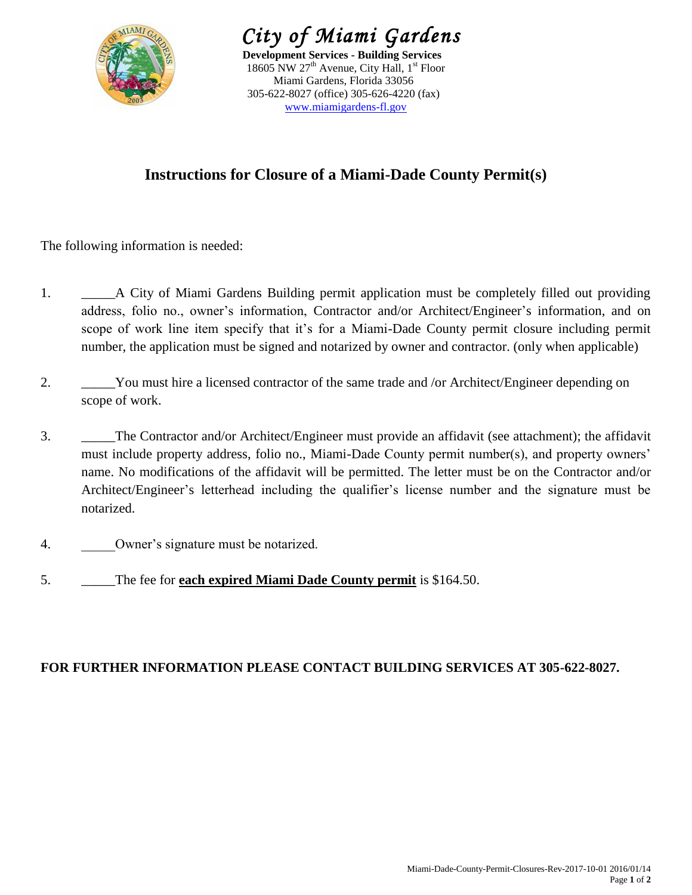

*City of Miami Gardens*  **Development Services - Building Services** 18605 NW 27<sup>th</sup> Avenue, City Hall,  $1<sup>st</sup>$  Floor Miami Gardens, Florida 33056 305-622-8027 (office) 305-626-4220 (fax) [www.miamigardens-fl.gov](http://www.miamigardens-fl.gov/)

## **Instructions for Closure of a Miami-Dade County Permit(s)**

The following information is needed:

- 1. A City of Miami Gardens Building permit application must be completely filled out providing address, folio no., owner's information, Contractor and/or Architect/Engineer's information, and on scope of work line item specify that it's for a Miami-Dade County permit closure including permit number, the application must be signed and notarized by owner and contractor. (only when applicable)
- 2. \_\_\_\_\_You must hire a licensed contractor of the same trade and /or Architect/Engineer depending on scope of work.
- 3. \_\_\_\_\_The Contractor and/or Architect/Engineer must provide an affidavit (see attachment); the affidavit must include property address, folio no., Miami-Dade County permit number(s), and property owners' name. No modifications of the affidavit will be permitted. The letter must be on the Contractor and/or Architect/Engineer's letterhead including the qualifier's license number and the signature must be notarized.
- 4. Owner's signature must be notarized.
- 5. \_\_\_\_\_The fee for **each expired Miami Dade County permit** is \$164.50.

## **FOR FURTHER INFORMATION PLEASE CONTACT BUILDING SERVICES AT 305-622-8027.**